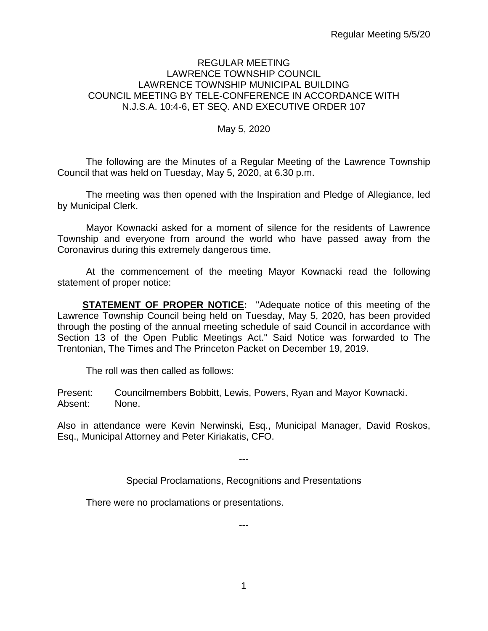#### REGULAR MEETING LAWRENCE TOWNSHIP COUNCIL LAWRENCE TOWNSHIP MUNICIPAL BUILDING COUNCIL MEETING BY TELE-CONFERENCE IN ACCORDANCE WITH N.J.S.A. 10:4-6, ET SEQ. AND EXECUTIVE ORDER 107

#### May 5, 2020

The following are the Minutes of a Regular Meeting of the Lawrence Township Council that was held on Tuesday, May 5, 2020, at 6.30 p.m.

The meeting was then opened with the Inspiration and Pledge of Allegiance, led by Municipal Clerk.

Mayor Kownacki asked for a moment of silence for the residents of Lawrence Township and everyone from around the world who have passed away from the Coronavirus during this extremely dangerous time.

At the commencement of the meeting Mayor Kownacki read the following statement of proper notice:

**STATEMENT OF PROPER NOTICE:** "Adequate notice of this meeting of the Lawrence Township Council being held on Tuesday, May 5, 2020, has been provided through the posting of the annual meeting schedule of said Council in accordance with Section 13 of the Open Public Meetings Act." Said Notice was forwarded to The Trentonian, The Times and The Princeton Packet on December 19, 2019.

The roll was then called as follows:

Present: Councilmembers Bobbitt, Lewis, Powers, Ryan and Mayor Kownacki. Absent: None.

Also in attendance were Kevin Nerwinski, Esq., Municipal Manager, David Roskos, Esq., Municipal Attorney and Peter Kiriakatis, CFO.

---

Special Proclamations, Recognitions and Presentations

---

There were no proclamations or presentations.

1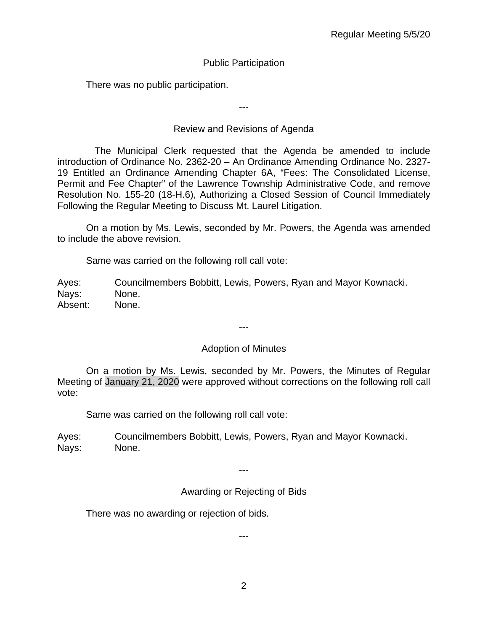## Public Participation

There was no public participation.

---

### Review and Revisions of Agenda

 The Municipal Clerk requested that the Agenda be amended to include introduction of Ordinance No. 2362-20 – An Ordinance Amending Ordinance No. 2327- 19 Entitled an Ordinance Amending Chapter 6A, "Fees: The Consolidated License, Permit and Fee Chapter" of the Lawrence Township Administrative Code, and remove Resolution No. 155-20 (18-H.6), Authorizing a Closed Session of Council Immediately Following the Regular Meeting to Discuss Mt. Laurel Litigation.

On a motion by Ms. Lewis, seconded by Mr. Powers, the Agenda was amended to include the above revision.

Same was carried on the following roll call vote:

Ayes: Councilmembers Bobbitt, Lewis, Powers, Ryan and Mayor Kownacki. Nays: None. Absent: None.

---

#### Adoption of Minutes

On a motion by Ms. Lewis, seconded by Mr. Powers, the Minutes of Regular Meeting of January 21, 2020 were approved without corrections on the following roll call vote:

Same was carried on the following roll call vote:

Ayes: Councilmembers Bobbitt, Lewis, Powers, Ryan and Mayor Kownacki. Nays: None.

---

Awarding or Rejecting of Bids

There was no awarding or rejection of bids.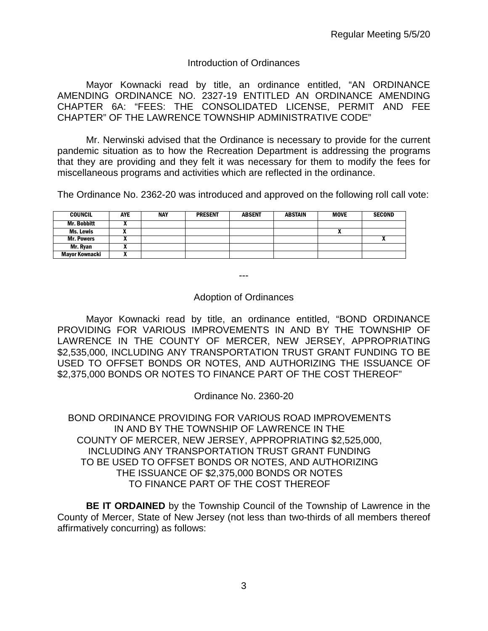#### Introduction of Ordinances

Mayor Kownacki read by title, an ordinance entitled, "AN ORDINANCE AMENDING ORDINANCE NO. 2327-19 ENTITLED AN ORDINANCE AMENDING CHAPTER 6A: "FEES: THE CONSOLIDATED LICENSE, PERMIT AND FEE CHAPTER" OF THE LAWRENCE TOWNSHIP ADMINISTRATIVE CODE"

Mr. Nerwinski advised that the Ordinance is necessary to provide for the current pandemic situation as to how the Recreation Department is addressing the programs that they are providing and they felt it was necessary for them to modify the fees for miscellaneous programs and activities which are reflected in the ordinance.

The Ordinance No. 2362-20 was introduced and approved on the following roll call vote:

| <b>COUNCIL</b>     | AYE | <b>NAY</b> | <b>PRESENT</b> | <b>ABSENT</b> | <b>ABSTAIN</b> | <b>MOVE</b> | <b>SECOND</b> |
|--------------------|-----|------------|----------------|---------------|----------------|-------------|---------------|
| <b>Mr. Bobbitt</b> |     |            |                |               |                |             |               |
| Ms. Lewis          |     |            |                |               |                | n           |               |
| <b>Mr. Powers</b>  |     |            |                |               |                |             |               |
| Mr. Ryan           |     |            |                |               |                |             |               |
| Mayor Kownacki     | "   |            |                |               |                |             |               |

---

#### Adoption of Ordinances

Mayor Kownacki read by title, an ordinance entitled, "BOND ORDINANCE PROVIDING FOR VARIOUS IMPROVEMENTS IN AND BY THE TOWNSHIP OF LAWRENCE IN THE COUNTY OF MERCER, NEW JERSEY, APPROPRIATING \$2,535,000, INCLUDING ANY TRANSPORTATION TRUST GRANT FUNDING TO BE USED TO OFFSET BONDS OR NOTES, AND AUTHORIZING THE ISSUANCE OF \$2,375,000 BONDS OR NOTES TO FINANCE PART OF THE COST THEREOF"

Ordinance No. 2360-20

BOND ORDINANCE PROVIDING FOR VARIOUS ROAD IMPROVEMENTS IN AND BY THE TOWNSHIP OF LAWRENCE IN THE COUNTY OF MERCER, NEW JERSEY, APPROPRIATING \$2,525,000, INCLUDING ANY TRANSPORTATION TRUST GRANT FUNDING TO BE USED TO OFFSET BONDS OR NOTES, AND AUTHORIZING THE ISSUANCE OF \$2,375,000 BONDS OR NOTES TO FINANCE PART OF THE COST THEREOF

**BE IT ORDAINED** by the Township Council of the Township of Lawrence in the County of Mercer, State of New Jersey (not less than two-thirds of all members thereof affirmatively concurring) as follows: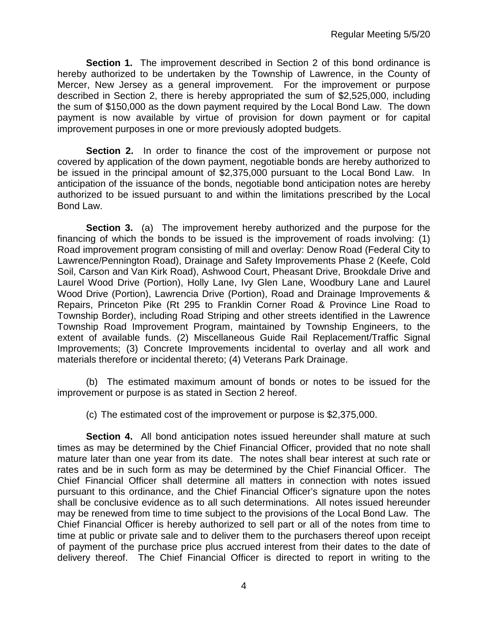**Section 1.** The improvement described in Section 2 of this bond ordinance is hereby authorized to be undertaken by the Township of Lawrence, in the County of Mercer, New Jersey as a general improvement. For the improvement or purpose described in Section 2, there is hereby appropriated the sum of \$2,525,000, including the sum of \$150,000 as the down payment required by the Local Bond Law. The down payment is now available by virtue of provision for down payment or for capital improvement purposes in one or more previously adopted budgets.

**Section 2.** In order to finance the cost of the improvement or purpose not covered by application of the down payment, negotiable bonds are hereby authorized to be issued in the principal amount of \$2,375,000 pursuant to the Local Bond Law. In anticipation of the issuance of the bonds, negotiable bond anticipation notes are hereby authorized to be issued pursuant to and within the limitations prescribed by the Local Bond Law.

**Section 3.** (a) The improvement hereby authorized and the purpose for the financing of which the bonds to be issued is the improvement of roads involving: (1) Road improvement program consisting of mill and overlay: Denow Road (Federal City to Lawrence/Pennington Road), Drainage and Safety Improvements Phase 2 (Keefe, Cold Soil, Carson and Van Kirk Road), Ashwood Court, Pheasant Drive, Brookdale Drive and Laurel Wood Drive (Portion), Holly Lane, Ivy Glen Lane, Woodbury Lane and Laurel Wood Drive (Portion), Lawrencia Drive (Portion), Road and Drainage Improvements & Repairs, Princeton Pike (Rt 295 to Franklin Corner Road & Province Line Road to Township Border), including Road Striping and other streets identified in the Lawrence Township Road Improvement Program, maintained by Township Engineers, to the extent of available funds. (2) Miscellaneous Guide Rail Replacement/Traffic Signal Improvements; (3) Concrete Improvements incidental to overlay and all work and materials therefore or incidental thereto; (4) Veterans Park Drainage.

(b) The estimated maximum amount of bonds or notes to be issued for the improvement or purpose is as stated in Section 2 hereof.

(c) The estimated cost of the improvement or purpose is \$2,375,000.

**Section 4.** All bond anticipation notes issued hereunder shall mature at such times as may be determined by the Chief Financial Officer, provided that no note shall mature later than one year from its date. The notes shall bear interest at such rate or rates and be in such form as may be determined by the Chief Financial Officer. The Chief Financial Officer shall determine all matters in connection with notes issued pursuant to this ordinance, and the Chief Financial Officer's signature upon the notes shall be conclusive evidence as to all such determinations. All notes issued hereunder may be renewed from time to time subject to the provisions of the Local Bond Law. The Chief Financial Officer is hereby authorized to sell part or all of the notes from time to time at public or private sale and to deliver them to the purchasers thereof upon receipt of payment of the purchase price plus accrued interest from their dates to the date of delivery thereof. The Chief Financial Officer is directed to report in writing to the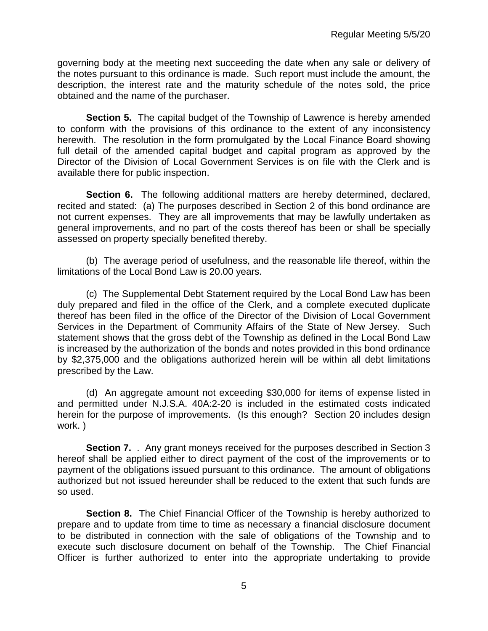governing body at the meeting next succeeding the date when any sale or delivery of the notes pursuant to this ordinance is made. Such report must include the amount, the description, the interest rate and the maturity schedule of the notes sold, the price obtained and the name of the purchaser.

**Section 5.** The capital budget of the Township of Lawrence is hereby amended to conform with the provisions of this ordinance to the extent of any inconsistency herewith. The resolution in the form promulgated by the Local Finance Board showing full detail of the amended capital budget and capital program as approved by the Director of the Division of Local Government Services is on file with the Clerk and is available there for public inspection.

**Section 6.** The following additional matters are hereby determined, declared, recited and stated: (a) The purposes described in Section 2 of this bond ordinance are not current expenses. They are all improvements that may be lawfully undertaken as general improvements, and no part of the costs thereof has been or shall be specially assessed on property specially benefited thereby.

(b) The average period of usefulness, and the reasonable life thereof, within the limitations of the Local Bond Law is 20.00 years.

(c) The Supplemental Debt Statement required by the Local Bond Law has been duly prepared and filed in the office of the Clerk, and a complete executed duplicate thereof has been filed in the office of the Director of the Division of Local Government Services in the Department of Community Affairs of the State of New Jersey. Such statement shows that the gross debt of the Township as defined in the Local Bond Law is increased by the authorization of the bonds and notes provided in this bond ordinance by \$2,375,000 and the obligations authorized herein will be within all debt limitations prescribed by the Law.

(d) An aggregate amount not exceeding \$30,000 for items of expense listed in and permitted under N.J.S.A. 40A:2-20 is included in the estimated costs indicated herein for the purpose of improvements. (Is this enough? Section 20 includes design work. )

**Section 7.** . Any grant moneys received for the purposes described in Section 3 hereof shall be applied either to direct payment of the cost of the improvements or to payment of the obligations issued pursuant to this ordinance. The amount of obligations authorized but not issued hereunder shall be reduced to the extent that such funds are so used.

**Section 8.** The Chief Financial Officer of the Township is hereby authorized to prepare and to update from time to time as necessary a financial disclosure document to be distributed in connection with the sale of obligations of the Township and to execute such disclosure document on behalf of the Township. The Chief Financial Officer is further authorized to enter into the appropriate undertaking to provide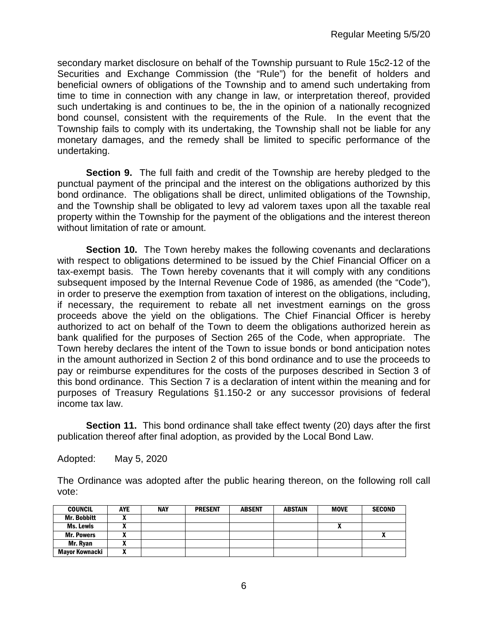secondary market disclosure on behalf of the Township pursuant to Rule 15c2-12 of the Securities and Exchange Commission (the "Rule") for the benefit of holders and beneficial owners of obligations of the Township and to amend such undertaking from time to time in connection with any change in law, or interpretation thereof, provided such undertaking is and continues to be, the in the opinion of a nationally recognized bond counsel, consistent with the requirements of the Rule. In the event that the Township fails to comply with its undertaking, the Township shall not be liable for any monetary damages, and the remedy shall be limited to specific performance of the undertaking.

**Section 9.** The full faith and credit of the Township are hereby pledged to the punctual payment of the principal and the interest on the obligations authorized by this bond ordinance. The obligations shall be direct, unlimited obligations of the Township, and the Township shall be obligated to levy ad valorem taxes upon all the taxable real property within the Township for the payment of the obligations and the interest thereon without limitation of rate or amount.

**Section 10.** The Town hereby makes the following covenants and declarations with respect to obligations determined to be issued by the Chief Financial Officer on a tax-exempt basis. The Town hereby covenants that it will comply with any conditions subsequent imposed by the Internal Revenue Code of 1986, as amended (the "Code"), in order to preserve the exemption from taxation of interest on the obligations, including, if necessary, the requirement to rebate all net investment earnings on the gross proceeds above the yield on the obligations. The Chief Financial Officer is hereby authorized to act on behalf of the Town to deem the obligations authorized herein as bank qualified for the purposes of Section 265 of the Code, when appropriate. The Town hereby declares the intent of the Town to issue bonds or bond anticipation notes in the amount authorized in Section 2 of this bond ordinance and to use the proceeds to pay or reimburse expenditures for the costs of the purposes described in Section 3 of this bond ordinance. This Section 7 is a declaration of intent within the meaning and for purposes of Treasury Regulations §1.150-2 or any successor provisions of federal income tax law.

**Section 11.** This bond ordinance shall take effect twenty (20) days after the first publication thereof after final adoption, as provided by the Local Bond Law.

Adopted: May 5, 2020

The Ordinance was adopted after the public hearing thereon, on the following roll call vote:

| <b>COUNCIL</b>     | <b>AYE</b> | <b>NAY</b> | <b>PRESENT</b> | <b>ABSENT</b> | <b>ABSTAIN</b> | <b>MOVE</b> | <b>SECOND</b> |
|--------------------|------------|------------|----------------|---------------|----------------|-------------|---------------|
| <b>Mr. Bobbitt</b> |            |            |                |               |                |             |               |
| Ms. Lewis          |            |            |                |               |                | ~           |               |
| <b>Mr. Powers</b>  |            |            |                |               |                |             |               |
| Mr. Ryan           |            |            |                |               |                |             |               |
| Mayor Kownacki     |            |            |                |               |                |             |               |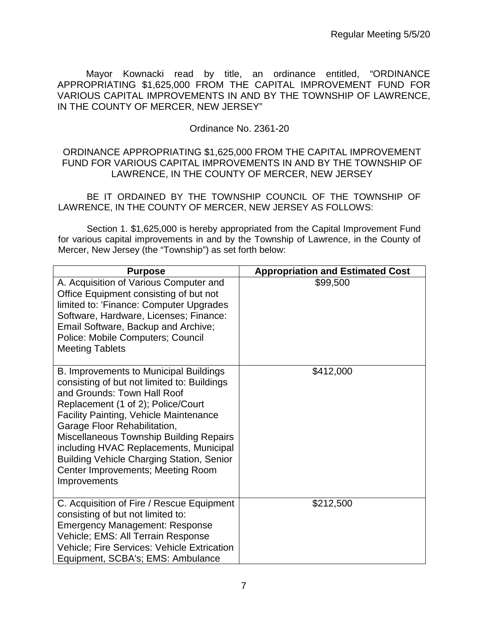Mayor Kownacki read by title, an ordinance entitled, "ORDINANCE APPROPRIATING \$1,625,000 FROM THE CAPITAL IMPROVEMENT FUND FOR VARIOUS CAPITAL IMPROVEMENTS IN AND BY THE TOWNSHIP OF LAWRENCE, IN THE COUNTY OF MERCER, NEW JERSEY"

### Ordinance No. 2361-20

#### ORDINANCE APPROPRIATING \$1,625,000 FROM THE CAPITAL IMPROVEMENT FUND FOR VARIOUS CAPITAL IMPROVEMENTS IN AND BY THE TOWNSHIP OF LAWRENCE, IN THE COUNTY OF MERCER, NEW JERSEY

BE IT ORDAINED BY THE TOWNSHIP COUNCIL OF THE TOWNSHIP OF LAWRENCE, IN THE COUNTY OF MERCER, NEW JERSEY AS FOLLOWS:

Section 1. \$1,625,000 is hereby appropriated from the Capital Improvement Fund for various capital improvements in and by the Township of Lawrence, in the County of Mercer, New Jersey (the "Township") as set forth below:

| <b>Purpose</b>                                                                                                                                                                                                                                                                                                                                                                                                                                   | <b>Appropriation and Estimated Cost</b> |
|--------------------------------------------------------------------------------------------------------------------------------------------------------------------------------------------------------------------------------------------------------------------------------------------------------------------------------------------------------------------------------------------------------------------------------------------------|-----------------------------------------|
| A. Acquisition of Various Computer and<br>Office Equipment consisting of but not<br>limited to: 'Finance: Computer Upgrades<br>Software, Hardware, Licenses; Finance:<br>Email Software, Backup and Archive;<br>Police: Mobile Computers; Council<br><b>Meeting Tablets</b>                                                                                                                                                                      | \$99,500                                |
| B. Improvements to Municipal Buildings<br>consisting of but not limited to: Buildings<br>and Grounds: Town Hall Roof<br>Replacement (1 of 2); Police/Court<br><b>Facility Painting, Vehicle Maintenance</b><br>Garage Floor Rehabilitation,<br><b>Miscellaneous Township Building Repairs</b><br>including HVAC Replacements, Municipal<br><b>Building Vehicle Charging Station, Senior</b><br>Center Improvements; Meeting Room<br>Improvements | \$412,000                               |
| C. Acquisition of Fire / Rescue Equipment<br>consisting of but not limited to:<br><b>Emergency Management: Response</b><br>Vehicle; EMS: All Terrain Response<br><b>Vehicle; Fire Services: Vehicle Extrication</b><br>Equipment, SCBA's; EMS: Ambulance                                                                                                                                                                                         | \$212,500                               |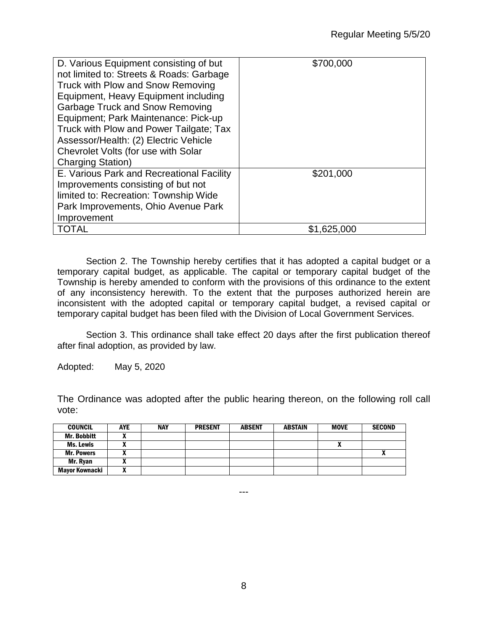| D. Various Equipment consisting of but<br>not limited to: Streets & Roads: Garbage<br>Truck with Plow and Snow Removing<br>Equipment, Heavy Equipment including<br><b>Garbage Truck and Snow Removing</b><br>Equipment; Park Maintenance: Pick-up<br>Truck with Plow and Power Tailgate; Tax<br>Assessor/Health: (2) Electric Vehicle<br>Chevrolet Volts (for use with Solar<br><b>Charging Station)</b> | \$700,000   |
|----------------------------------------------------------------------------------------------------------------------------------------------------------------------------------------------------------------------------------------------------------------------------------------------------------------------------------------------------------------------------------------------------------|-------------|
| E. Various Park and Recreational Facility<br>Improvements consisting of but not<br>limited to: Recreation: Township Wide<br>Park Improvements, Ohio Avenue Park<br>Improvement                                                                                                                                                                                                                           | \$201,000   |
| <b>TOTAL</b>                                                                                                                                                                                                                                                                                                                                                                                             | \$1,625,000 |

Section 2. The Township hereby certifies that it has adopted a capital budget or a temporary capital budget, as applicable. The capital or temporary capital budget of the Township is hereby amended to conform with the provisions of this ordinance to the extent of any inconsistency herewith. To the extent that the purposes authorized herein are inconsistent with the adopted capital or temporary capital budget, a revised capital or temporary capital budget has been filed with the Division of Local Government Services.

Section 3. This ordinance shall take effect 20 days after the first publication thereof after final adoption, as provided by law.

Adopted: May 5, 2020

The Ordinance was adopted after the public hearing thereon, on the following roll call vote:

| <b>COUNCIL</b>     | <b>AYE</b> | <b>NAY</b> | <b>PRESENT</b> | <b>ABSENT</b> | <b>ABSTAIN</b> | <b>MOVE</b> | <b>SECOND</b> |
|--------------------|------------|------------|----------------|---------------|----------------|-------------|---------------|
| <b>Mr. Bobbitt</b> |            |            |                |               |                |             |               |
| Ms. Lewis          |            |            |                |               |                |             |               |
| <b>Mr. Powers</b>  |            |            |                |               |                |             |               |
| Mr. Ryan           |            |            |                |               |                |             |               |
| Mayor Kownacki     |            |            |                |               |                |             |               |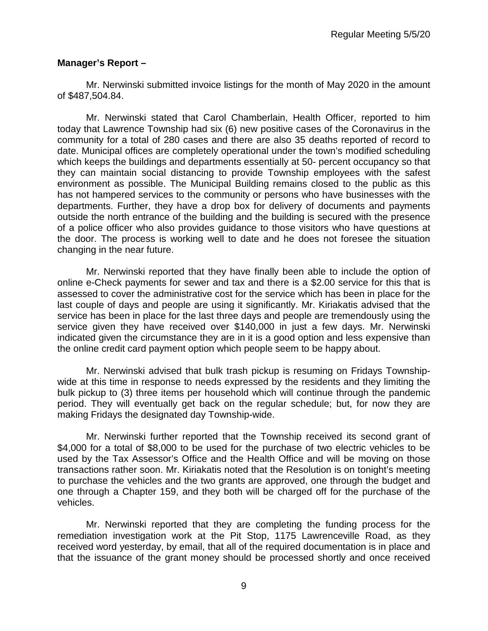## **Manager's Report –**

Mr. Nerwinski submitted invoice listings for the month of May 2020 in the amount of \$487,504.84.

Mr. Nerwinski stated that Carol Chamberlain, Health Officer, reported to him today that Lawrence Township had six (6) new positive cases of the Coronavirus in the community for a total of 280 cases and there are also 35 deaths reported of record to date. Municipal offices are completely operational under the town's modified scheduling which keeps the buildings and departments essentially at 50- percent occupancy so that they can maintain social distancing to provide Township employees with the safest environment as possible. The Municipal Building remains closed to the public as this has not hampered services to the community or persons who have businesses with the departments. Further, they have a drop box for delivery of documents and payments outside the north entrance of the building and the building is secured with the presence of a police officer who also provides guidance to those visitors who have questions at the door. The process is working well to date and he does not foresee the situation changing in the near future.

Mr. Nerwinski reported that they have finally been able to include the option of online e-Check payments for sewer and tax and there is a \$2.00 service for this that is assessed to cover the administrative cost for the service which has been in place for the last couple of days and people are using it significantly. Mr. Kiriakatis advised that the service has been in place for the last three days and people are tremendously using the service given they have received over \$140,000 in just a few days. Mr. Nerwinski indicated given the circumstance they are in it is a good option and less expensive than the online credit card payment option which people seem to be happy about.

Mr. Nerwinski advised that bulk trash pickup is resuming on Fridays Townshipwide at this time in response to needs expressed by the residents and they limiting the bulk pickup to (3) three items per household which will continue through the pandemic period. They will eventually get back on the regular schedule; but, for now they are making Fridays the designated day Township-wide.

Mr. Nerwinski further reported that the Township received its second grant of \$4,000 for a total of \$8,000 to be used for the purchase of two electric vehicles to be used by the Tax Assessor's Office and the Health Office and will be moving on those transactions rather soon. Mr. Kiriakatis noted that the Resolution is on tonight's meeting to purchase the vehicles and the two grants are approved, one through the budget and one through a Chapter 159, and they both will be charged off for the purchase of the vehicles.

Mr. Nerwinski reported that they are completing the funding process for the remediation investigation work at the Pit Stop, 1175 Lawrenceville Road, as they received word yesterday, by email, that all of the required documentation is in place and that the issuance of the grant money should be processed shortly and once received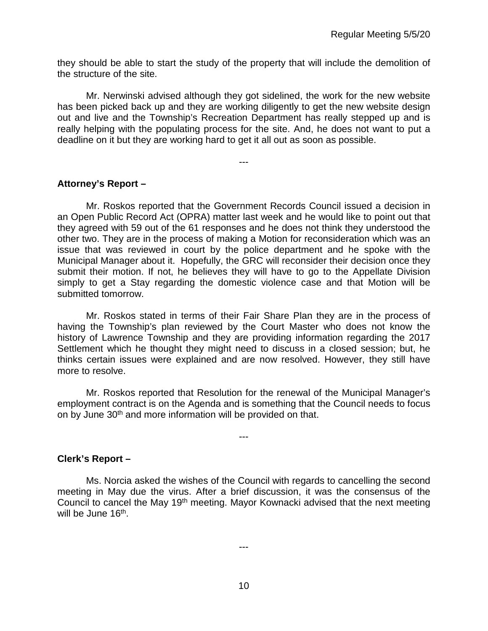they should be able to start the study of the property that will include the demolition of the structure of the site.

Mr. Nerwinski advised although they got sidelined, the work for the new website has been picked back up and they are working diligently to get the new website design out and live and the Township's Recreation Department has really stepped up and is really helping with the populating process for the site. And, he does not want to put a deadline on it but they are working hard to get it all out as soon as possible.

---

#### **Attorney's Report –**

Mr. Roskos reported that the Government Records Council issued a decision in an Open Public Record Act (OPRA) matter last week and he would like to point out that they agreed with 59 out of the 61 responses and he does not think they understood the other two. They are in the process of making a Motion for reconsideration which was an issue that was reviewed in court by the police department and he spoke with the Municipal Manager about it. Hopefully, the GRC will reconsider their decision once they submit their motion. If not, he believes they will have to go to the Appellate Division simply to get a Stay regarding the domestic violence case and that Motion will be submitted tomorrow.

Mr. Roskos stated in terms of their Fair Share Plan they are in the process of having the Township's plan reviewed by the Court Master who does not know the history of Lawrence Township and they are providing information regarding the 2017 Settlement which he thought they might need to discuss in a closed session; but, he thinks certain issues were explained and are now resolved. However, they still have more to resolve.

Mr. Roskos reported that Resolution for the renewal of the Municipal Manager's employment contract is on the Agenda and is something that the Council needs to focus on by June 30<sup>th</sup> and more information will be provided on that.

---

**Clerk's Report –** 

Ms. Norcia asked the wishes of the Council with regards to cancelling the second meeting in May due the virus. After a brief discussion, it was the consensus of the Council to cancel the May 19th meeting. Mayor Kownacki advised that the next meeting will be June 16<sup>th</sup>.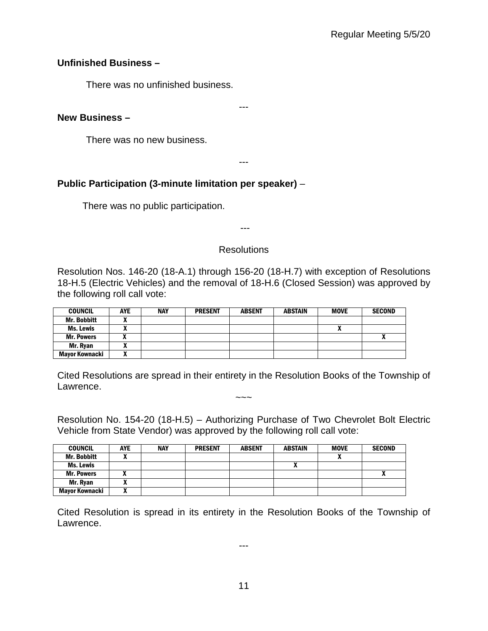## **Unfinished Business –**

There was no unfinished business.

## **New Business –**

There was no new business.

---

---

## **Public Participation (3-minute limitation per speaker)** –

There was no public participation.

---

## **Resolutions**

Resolution Nos. 146-20 (18-A.1) through 156-20 (18-H.7) with exception of Resolutions 18-H.5 (Electric Vehicles) and the removal of 18-H.6 (Closed Session) was approved by the following roll call vote:

| <b>COUNCIL</b>     | <b>AYE</b> | <b>NAY</b> | <b>PRESENT</b> | <b>ABSENT</b> | <b>ABSTAIN</b> | <b>MOVE</b> | <b>SECOND</b> |
|--------------------|------------|------------|----------------|---------------|----------------|-------------|---------------|
| <b>Mr. Bobbitt</b> |            |            |                |               |                |             |               |
| Ms. Lewis          |            |            |                |               |                |             |               |
| <b>Mr. Powers</b>  |            |            |                |               |                |             |               |
| Mr. Ryan           | ~          |            |                |               |                |             |               |
| Mayor Kownacki     | ~          |            |                |               |                |             |               |

Cited Resolutions are spread in their entirety in the Resolution Books of the Township of Lawrence.  $\sim\sim\sim$ 

Resolution No. 154-20 (18-H.5) – Authorizing Purchase of Two Chevrolet Bolt Electric Vehicle from State Vendor) was approved by the following roll call vote:

| <b>COUNCIL</b>        | <b>AYE</b> | <b>NAY</b> | <b>PRESENT</b> | <b>ABSENT</b> | <b>ABSTAIN</b> | <b>MOVE</b> | <b>SECOND</b> |
|-----------------------|------------|------------|----------------|---------------|----------------|-------------|---------------|
| <b>Mr. Bobbitt</b>    |            |            |                |               |                |             |               |
| Ms. Lewis             |            |            |                |               |                |             |               |
| <b>Mr. Powers</b>     |            |            |                |               |                |             |               |
| Mr. Ryan              |            |            |                |               |                |             |               |
| <b>Mayor Kownacki</b> |            |            |                |               |                |             |               |

Cited Resolution is spread in its entirety in the Resolution Books of the Township of Lawrence.